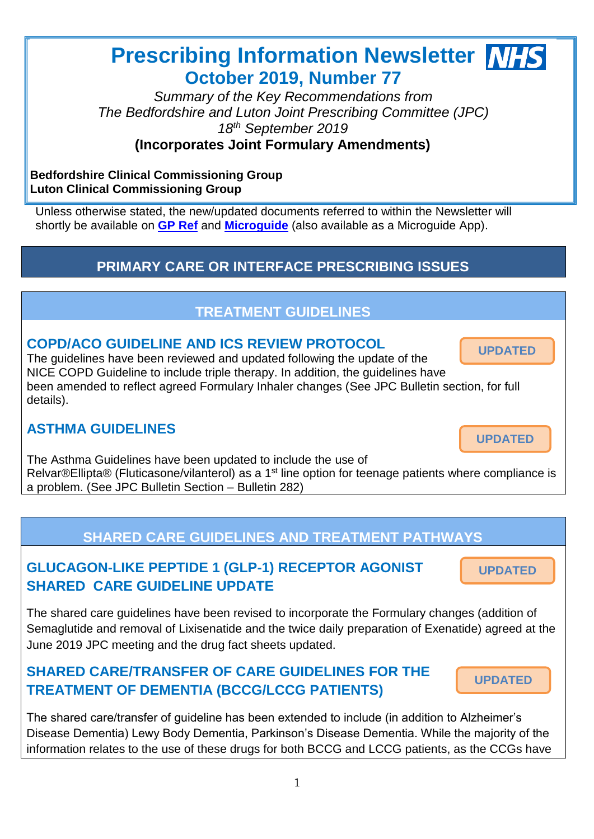# **Prescribing Information Newsletter MHS October 2019, Number 77**

*Summary of the Key Recommendations from The Bedfordshire and Luton Joint Prescribing Committee (JPC) 18 th September 2019* **(Incorporates Joint Formulary Amendments)**

### **Bedfordshire Clinical Commissioning Group Luton Clinical Commissioning Group**

Unless otherwise stated, the new/updated documents referred to within the Newsletter will shortly be available on **[GP Ref](http://www.gpref.bedfordshire.nhs.uk/referrals/bedfordshire-and-luton-joint-prescribing-committee-(jpc).aspx)** and **[Microguide](https://cms.horizonsp.co.uk/viewer/bedsccg/clinicalguidelines)** (also available as a Microguide App).

# **PRIMARY CARE OR INTERFACE PRESCRIBING ISSUES**

#### **TREATMENT GUIDELINES** *28th November 2018*

### **COPD/ACO GUIDELINE AND ICS REVIEW PROTOCOL**

The guidelines have been reviewed and updated following the update of the NICE COPD Guideline to include triple therapy. In addition, the guidelines have been amended to reflect agreed Formulary Inhaler changes (See JPC Bulletin section, for full details).

## **ASTHMA GUIDELINES**

The Asthma Guidelines have been updated to include the use of Relvar®Ellipta® (Fluticasone/vilanterol) as a 1<sup>st</sup> line option for teenage patients where compliance is a problem. (See JPC Bulletin Section – Bulletin 282)

# **SHARED CARE GUIDELINES AND TREATMENT PATHWAYS**

### **GLUCAGON-LIKE PEPTIDE 1 (GLP-1) RECEPTOR AGONIST SHARED CARE GUIDELINE UPDATE**

The shared care guidelines have been revised to incorporate the Formulary changes (addition of Semaglutide and removal of Lixisenatide and the twice daily preparation of Exenatide) agreed at the June 2019 JPC meeting and the drug fact sheets updated.

### **SHARED CARE/TRANSFER OF CARE GUIDELINES FOR THE TREATMENT OF DEMENTIA (BCCG/LCCG PATIENTS)**

The shared care/transfer of guideline has been extended to include (in addition to Alzheimer's Disease Dementia) Lewy Body Dementia, Parkinson's Disease Dementia. While the majority of the information relates to the use of these drugs for both BCCG and LCCG patients, as the CCGs have

**UPDATED**

**UPDATED**

**UPDATED**



 $\overline{a}$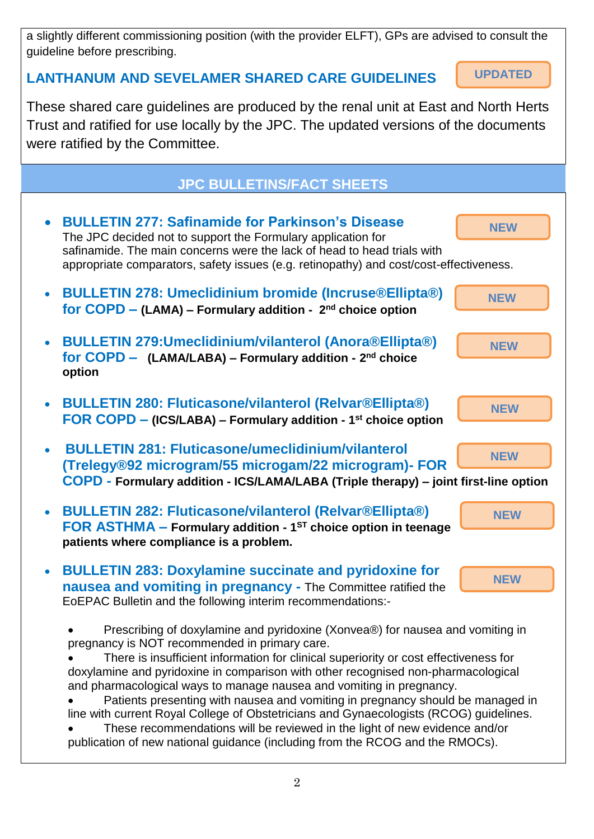a slightly different commissioning position (with the provider ELFT), GPs are advised to consult the guideline before prescribing.

# **LANTHANUM AND SEVELAMER SHARED CARE GUIDELINES**

**UPDATED**

These shared care guidelines are produced by the renal unit at East and North Herts Trust and ratified for use locally by the JPC. The updated versions of the documents were ratified by the Committee.

# **JPC BULLETINS/FACT SHEETS**

| <b>BULLETIN 277: Safinamide for Parkinson's Disease</b><br>The JPC decided not to support the Formulary application for<br>safinamide. The main concerns were the lack of head to head trials with<br>appropriate comparators, safety issues (e.g. retinopathy) and cost/cost-effectiveness.                                                                                                                                                                                                                                                                                                                                                                                                                                   | <b>NEW</b> |
|--------------------------------------------------------------------------------------------------------------------------------------------------------------------------------------------------------------------------------------------------------------------------------------------------------------------------------------------------------------------------------------------------------------------------------------------------------------------------------------------------------------------------------------------------------------------------------------------------------------------------------------------------------------------------------------------------------------------------------|------------|
| <b>BULLETIN 278: Umeclidinium bromide (Incruse®Ellipta®)</b><br>for $COPD - (LAMA) - Formulary addition - 2nd choice option$                                                                                                                                                                                                                                                                                                                                                                                                                                                                                                                                                                                                   | <b>NEW</b> |
| <b>BULLETIN 279: Umeclidinium/vilanterol (Anora®Ellipta®)</b><br>for $COPD - (LAMA/LABA) - Formulary addition - 2nd choice$<br>option                                                                                                                                                                                                                                                                                                                                                                                                                                                                                                                                                                                          | <b>NEW</b> |
| <b>BULLETIN 280: Fluticasone/vilanterol (Relvar®Ellipta®)</b><br>FOR COPD – (ICS/LABA) – Formulary addition - $1st$ choice option                                                                                                                                                                                                                                                                                                                                                                                                                                                                                                                                                                                              | <b>NEW</b> |
| <b>BULLETIN 281: Fluticasone/umeclidinium/vilanterol</b><br>(Trelegy®92 microgram/55 microgam/22 microgram)- FOR<br>COPD - Formulary addition - ICS/LAMA/LABA (Triple therapy) – joint first-line option                                                                                                                                                                                                                                                                                                                                                                                                                                                                                                                       | <b>NEW</b> |
| <b>BULLETIN 282: Fluticasone/vilanterol (Relvar®Ellipta®)</b><br>FOR $ASTHMA$ – Formulary addition - 1 <sup>ST</sup> choice option in teenage<br>patients where compliance is a problem.                                                                                                                                                                                                                                                                                                                                                                                                                                                                                                                                       | <b>NEW</b> |
| <b>BULLETIN 283: Doxylamine succinate and pyridoxine for</b><br>nausea and vomiting in pregnancy - The Committee ratified the<br>EoEPAC Bulletin and the following interim recommendations:-                                                                                                                                                                                                                                                                                                                                                                                                                                                                                                                                   | <b>NEW</b> |
| Prescribing of doxylamine and pyridoxine (Xonvea®) for nausea and vomiting in<br>pregnancy is NOT recommended in primary care.<br>There is insufficient information for clinical superiority or cost effectiveness for<br>doxylamine and pyridoxine in comparison with other recognised non-pharmacological<br>and pharmacological ways to manage nausea and vomiting in pregnancy.<br>Patients presenting with nausea and vomiting in pregnancy should be managed in<br>line with current Royal College of Obstetricians and Gynaecologists (RCOG) guidelines.<br>These recommendations will be reviewed in the light of new evidence and/or<br>publication of new national guidance (including from the RCOG and the RMOCs). |            |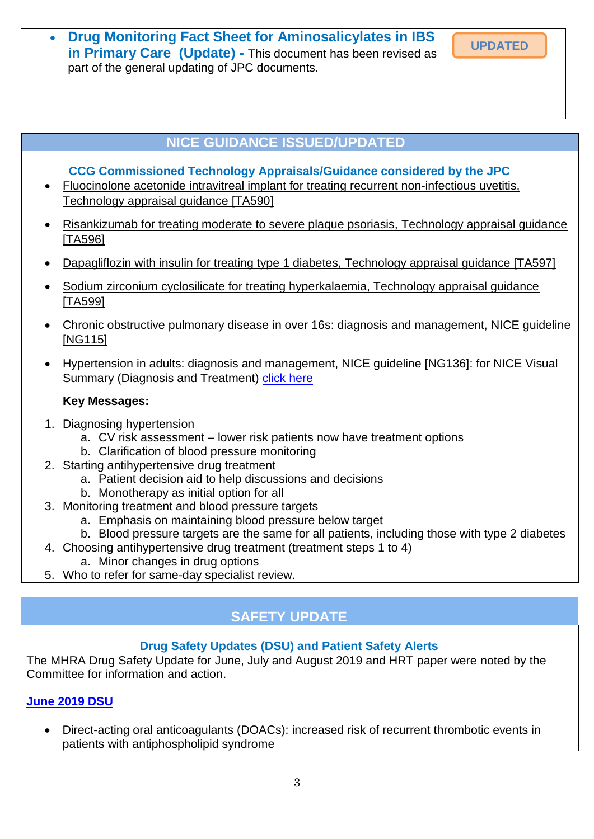**Drug Monitoring Fact Sheet for Aminosalicylates in IBS in Primary Care (Update) -** This document has been revised as part of the general updating of JPC documents.

### **NICE GUIDANCE ISSUED/UPDATED**

#### **CCG Commissioned Technology Appraisals/Guidance considered by the JPC**

- [Fluocinolone acetonide intravitreal implant for treating recurrent non-infectious uvetitis,](https://www.nice.org.uk/guidance/ta590)  [Technology appraisal guidance \[TA590\]](https://www.nice.org.uk/guidance/ta590)
- [Risankizumab for treating moderate to severe plaque psoriasis, Technology appraisal guidance](https://www.nice.org.uk/guidance/ta596)  [\[TA596\]](https://www.nice.org.uk/guidance/ta596)
- [Dapagliflozin with insulin for treating type 1 diabetes, Technology appraisal guidance \[TA597\]](https://www.nice.org.uk/guidance/ta597)
- [Sodium zirconium cyclosilicate for treating hyperkalaemia, Technology appraisal guidance](https://www.nice.org.uk/guidance/ta599)  [\[TA599\]](https://www.nice.org.uk/guidance/ta599)
- [Chronic obstructive pulmonary disease in over 16s: diagnosis and management, NICE guideline](https://www.nice.org.uk/guidance/ng115)  [\[NG115\]](https://www.nice.org.uk/guidance/ng115)
- Hypertension in adults: diagnosis and management, NICE guideline [NG136]: for NICE Visual Summary (Diagnosis and Treatment) [click here](https://www.nice.org.uk/guidance/ng136/resources/visual-summary-pdf-6899919517)

#### **Key Messages:**

- 1. Diagnosing hypertension
	- a. CV risk assessment lower risk patients now have treatment options
	- b. Clarification of blood pressure monitoring
- 2. Starting antihypertensive drug treatment
	- a. Patient decision aid to help discussions and decisions
	- b. Monotherapy as initial option for all
- 3. Monitoring treatment and blood pressure targets
	- a. Emphasis on maintaining blood pressure below target
	- b. Blood pressure targets are the same for all patients, including those with type 2 diabetes
- 4. Choosing antihypertensive drug treatment (treatment steps 1 to 4)
	- a. Minor changes in drug options
- 5. Who to refer for same-day specialist review.

### **SAFETY UPDATE**

#### **Drug Safety Updates (DSU) and Patient Safety Alerts**

The MHRA Drug Safety Update for June, July and August 2019 and HRT paper were noted by the Committee for information and action.

#### **[June 2019 DSU](https://assets.publishing.service.gov.uk/government/uploads/system/uploads/attachment_data/file/810191/June-2019-DSU-PDF.pdf)**

 Direct-acting oral anticoagulants (DOACs): increased risk of recurrent thrombotic events in patients with antiphospholipid syndrome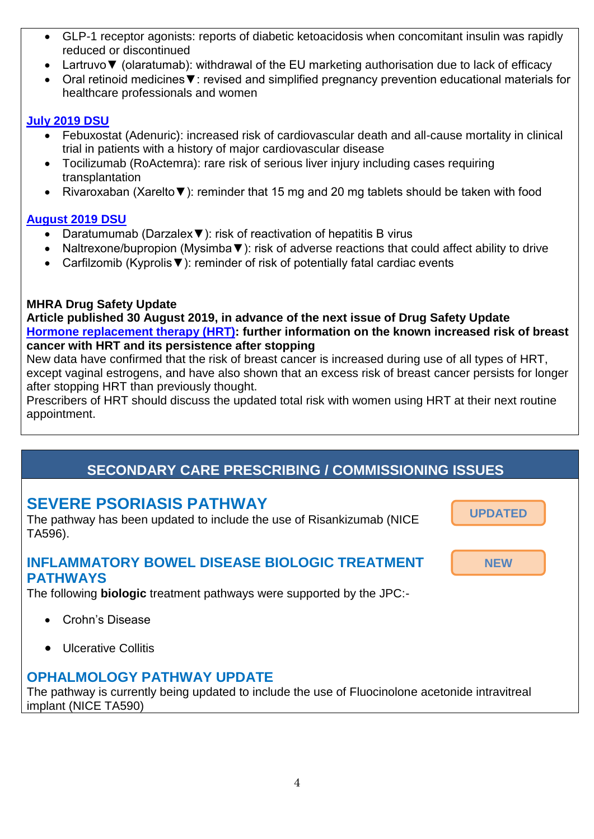- GLP-1 receptor agonists: reports of diabetic ketoacidosis when concomitant insulin was rapidly reduced or discontinued
- Lartruvo▼ (olaratumab): withdrawal of the EU marketing authorisation due to lack of efficacy
- Oral retinoid medicines▼: revised and simplified pregnancy prevention educational materials for healthcare professionals and women

### **[July 2019 DSU](https://assets.publishing.service.gov.uk/government/uploads/system/uploads/attachment_data/file/818083/July-2019-PDF.pdf)**

- Febuxostat (Adenuric): increased risk of cardiovascular death and all-cause mortality in clinical trial in patients with a history of major cardiovascular disease
- Tocilizumab (RoActemra): rare risk of serious liver injury including cases requiring transplantation
- Rivaroxaban (Xarelto▼): reminder that 15 mg and 20 mg tablets should be taken with food

### **[August 2019 DSU](https://assets.publishing.service.gov.uk/government/uploads/system/uploads/attachment_data/file/826120/Aug-2019-PDF.pdf)**

- Daratumumab (Darzalex▼): risk of reactivation of hepatitis B virus
- Naltrexone/bupropion (Mysimba▼): risk of adverse reactions that could affect ability to drive
- Carfilzomib (Kyprolis▼): reminder of risk of potentially fatal cardiac events

### **MHRA Drug Safety Update**

**Article published 30 August 2019, in advance of the next issue of Drug Safety Update [Hormone replacement therapy \(HRT\):](https://www.gov.uk/drug-safety-update/hormone-replacement-therapy-hrt-further-information-on-the-known-increased-risk-of-breast-cancer-with-hrt-and-its-persistence-after-stopping) further information on the known increased risk of breast cancer with HRT and its persistence after stopping**

New data have confirmed that the risk of breast cancer is increased during use of all types of HRT, except vaginal estrogens, and have also shown that an excess risk of breast cancer persists for longer after stopping HRT than previously thought.

Prescribers of HRT should discuss the updated total risk with women using HRT at their next routine appointment.

### **SECONDARY CARE PRESCRIBING / COMMISSIONING ISSUES**

### **SEVERE PSORIASIS PATHWAY**

The pathway has been updated to include the use of Risankizumab (NICE TA596).

**UPDATED**

**NEW**

### **INFLAMMATORY BOWEL DISEASE BIOLOGIC TREATMENT PATHWAYS**

The following **biologic** treatment pathways were supported by the JPC:-

- Crohn's Disease
- Ulcerative Collitis

### **OPHALMOLOGY PATHWAY UPDATE**

The pathway is currently being updated to include the use of Fluocinolone acetonide intravitreal implant (NICE TA590)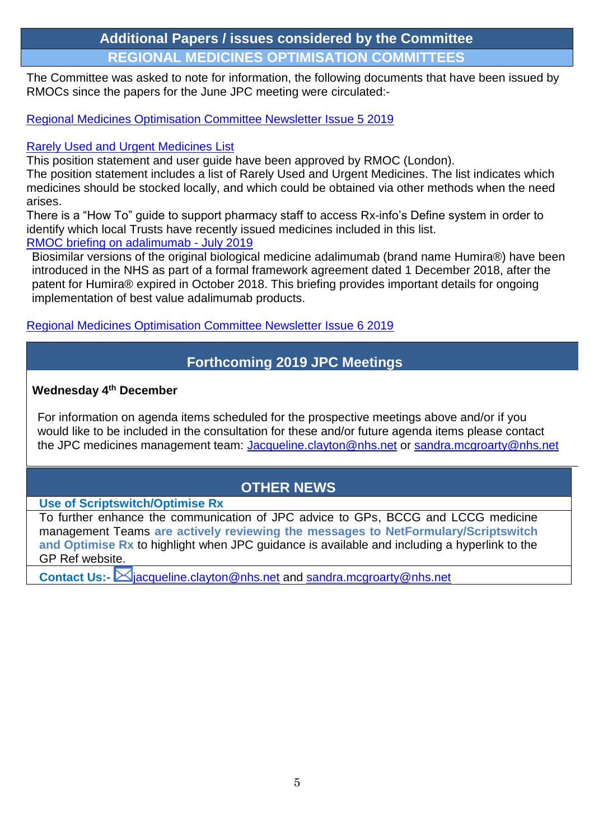### **Additional Papers / issues considered by the Committee REGIONAL MEDICINES OPTIMISATION COMMITTEES**

The Committee was asked to note for information, the following documents that have been issued by RMOCs since the papers for the June JPC meeting were circulated:-

[Regional Medicines Optimisation Committee Newsletter Issue 5 2019](https://www.sps.nhs.uk/articles/regional-medicines-optimisation-committee-newsletter-issue-5-2019/)

#### [Rarely Used and Urgent Medicines List](https://www.sps.nhs.uk/articles/rarely-used-and-urgent-medicines-list/)

This position statement and user guide have been approved by RMOC (London).

The position statement includes a list of Rarely Used and Urgent Medicines. The list indicates which medicines should be stocked locally, and which could be obtained via other methods when the need arises.

There is a "How To" guide to support pharmacy staff to access Rx-info's Define system in order to identify which local Trusts have recently issued medicines included in this list.

[RMOC briefing on adalimumab -](https://www.sps.nhs.uk/articles/rmoc-briefing-on-adalimumab-july-2019/) July 2019

Biosimilar versions of the original biological medicine adalimumab (brand name Humira®) have been introduced in the NHS as part of a formal framework agreement dated 1 December 2018, after the patent for Humira® expired in October 2018. This briefing provides important details for ongoing implementation of best value adalimumab products.

#### [Regional Medicines Optimisation Committee Newsletter Issue 6 2019](https://www.sps.nhs.uk/articles/regional-medicines-optimisation-committee-newsletter-issue-6-2019/)

### **Forthcoming 2019 JPC Meetings**

#### **Wednesday 4th December**

For information on agenda items scheduled for the prospective meetings above and/or if you would like to be included in the consultation for these and/or future agenda items please contact the JPC medicines management team: [Jacqueline.clayton@nhs.net](mailto:Jacqueline.clayton@nhs.net) or [sandra.mcgroarty@nhs.net](mailto:sandra.mcgroarty@nhs.net)

### **OTHER NEWS**

#### **Use of Scriptswitch/Optimise Rx**

To further enhance the communication of JPC advice to GPs, BCCG and LCCG medicine management Teams **are actively reviewing the messages to NetFormulary/Scriptswitch and Optimise Rx** to highlight when JPC guidance is available and including a hyperlink to the GP Ref website.

**Contact Us:-**  $\Box$  [jacqueline.clayton@nhs.net](mailto:jacqueline.clayton@nhs.net) and [sandra.mcgroarty@nhs.net](mailto:sandra.mcgroarty@nhs.net)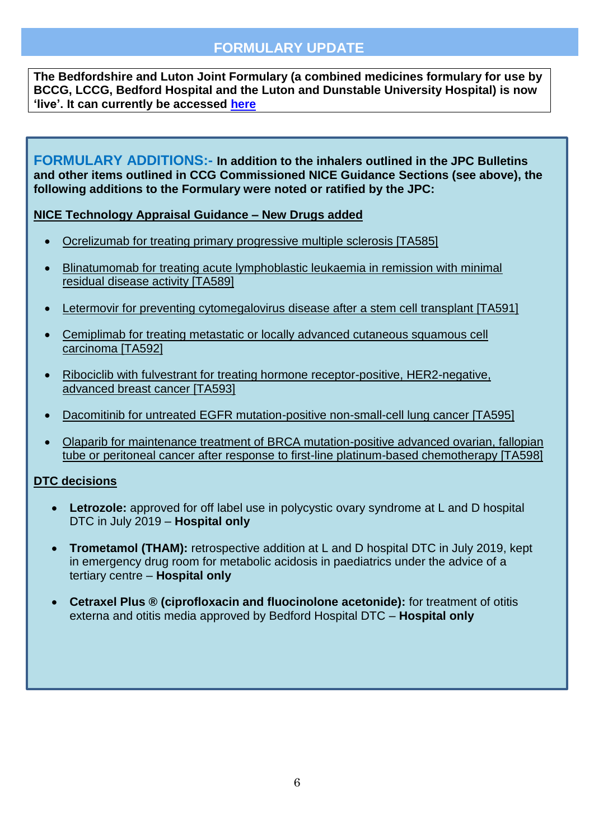### **FORMULARY UPDATE**

**The Bedfordshire and Luton Joint Formulary (a combined medicines formulary for use by BCCG, LCCG, Bedford Hospital and the Luton and Dunstable University Hospital) is now 'live'. It can currently be accessed [here](http://www.bedsformulary.nhs.uk/)**

**FORMULARY ADDITIONS:- In addition to the inhalers outlined in the JPC Bulletins and other items outlined in CCG Commissioned NICE Guidance Sections (see above), the following additions to the Formulary were noted or ratified by the JPC:**

#### **NICE Technology Appraisal Guidance – New Drugs added**

- [Ocrelizumab for treating primary progressive multiple sclerosis \[TA585\]](https://www.nice.org.uk/guidance/ta585/resources/ocrelizumab-for-treating-primary-progressive-multiple-sclerosis-pdf-82607204950981)
- [Blinatumomab for treating acute lymphoblastic leukaemia in remission with minimal](https://www.nice.org.uk/guidance/ta589/resources/blinatumomab-for-treating-acute-lymphoblastic-leukaemia-in-remission-with-minimal-residual-disease-activity-pdf-82607211669445)  [residual disease activity \[TA589\]](https://www.nice.org.uk/guidance/ta589/resources/blinatumomab-for-treating-acute-lymphoblastic-leukaemia-in-remission-with-minimal-residual-disease-activity-pdf-82607211669445)
- [Letermovir for preventing cytomegalovirus disease after a stem cell transplant \[TA591\]](https://www.nice.org.uk/guidance/ta591/resources/letermovir-for-preventing-cytomegalovirus-disease-after-a-stem-cell-transplant-pdf-82607258698693)
- [Cemiplimab for treating metastatic or locally advanced cutaneous squamous cell](https://www.nice.org.uk/guidance/ta592/resources/cemiplimab-for-treating-metastatic-or-locally-advanced-cutaneous-squamous-cell-carcinoma-pdf-82607260378309)  [carcinoma \[TA592\]](https://www.nice.org.uk/guidance/ta592/resources/cemiplimab-for-treating-metastatic-or-locally-advanced-cutaneous-squamous-cell-carcinoma-pdf-82607260378309)
- [Ribociclib with fulvestrant for treating hormone receptor-positive, HER2-negative,](https://www.nice.org.uk/guidance/ta593/chapter/1-Recommendations)  [advanced breast cancer \[TA593\]](https://www.nice.org.uk/guidance/ta593/chapter/1-Recommendations)
- [Dacomitinib for untreated EGFR mutation-positive non-small-cell lung cancer \[TA595\]](https://www.nice.org.uk/guidance/ta595/resources/dacomitinib-for-untreated-egfr-mutationpositive-nonsmallcell-lung-cancer-pdf-82607265417157)
- [Olaparib for maintenance treatment of BRCA mutation-positive advanced ovarian, fallopian](https://www.nice.org.uk/guidance/ta598/resources/olaparib-for-maintenance-treatment-of-brca-mutationpositive-advanced-ovarian-fallopian-tube-or-peritoneal-cancer-after-response-to-firstline-platinumbased-chemotherapy-pdf-82607270456005)  [tube or peritoneal cancer after response to first-line platinum-based chemotherapy \[TA598\]](https://www.nice.org.uk/guidance/ta598/resources/olaparib-for-maintenance-treatment-of-brca-mutationpositive-advanced-ovarian-fallopian-tube-or-peritoneal-cancer-after-response-to-firstline-platinumbased-chemotherapy-pdf-82607270456005)

### **DTC decisions**

- **Letrozole:** approved for off label use in polycystic ovary syndrome at L and D hospital DTC in July 2019 – **Hospital only**
- **Trometamol (THAM):** retrospective addition at L and D hospital DTC in July 2019, kept in emergency drug room for metabolic acidosis in paediatrics under the advice of a tertiary centre – **Hospital only**
- **Cetraxel Plus ® (ciprofloxacin and fluocinolone acetonide):** for treatment of otitis externa and otitis media approved by Bedford Hospital DTC – **Hospital only**